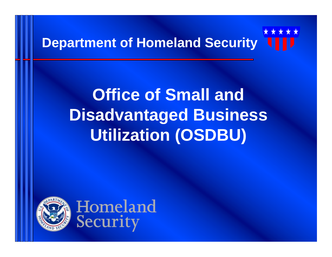## **Department of Homeland Security**

## **Office of Small and Disadvantaged Business Utilization (OSDBU)**



Homeland Security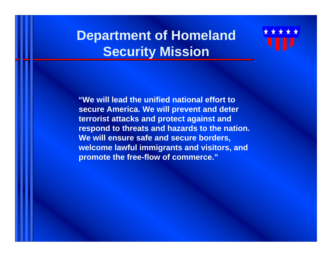#### **Department of Homeland Security Mission**



**"We will lead the unified national effort to secure America. We will prevent and deter terrorist attacks and protect against and respond to threats and hazards to the nation. We will ensure safe and secure borders, welcome lawful immigrants and visitors, and promote the free-flow of commerce."**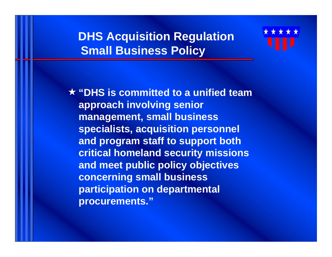#### **DHS Acquisition Regulation Small Business Policy**



**"DHS is committed to a unified team approach involving senior management, small business specialists, acquisition personnel and program staff to support both critical homeland security missions and meet public policy objectives concerning small business participation on departmental procurements."**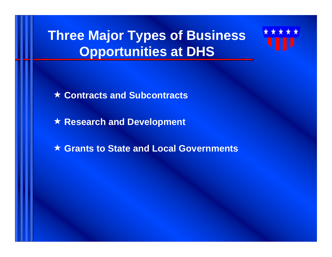## **Three Major Types of Business Opportunities at DHS**



**Contracts and Subcontracts**

**Research and Development**

**Grants to State and Local Governments**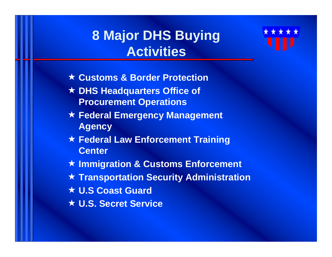#### **8 Major DHS Buying Activities**



- **Customs & Border Protection**
- **DHS Headquarters Office of Procurement Operations**
- **Federal Emergency Management Agency**
- **Federal Law Enforcement Training Center**
- **Immigration & Customs Enforcement**
- **Transportation Security Administration**
- **U.S Coast Guard**
- **U.S. Secret Service**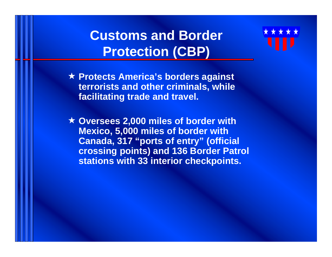#### **Customs and Border Protection (CBP)**



 **Oversees 2,000 miles of border with Mexico, 5,000 miles of border with Canada, 317 "ports of entry" (official crossing points) and 136 Border Patrol stations with 33 interior checkpoints.**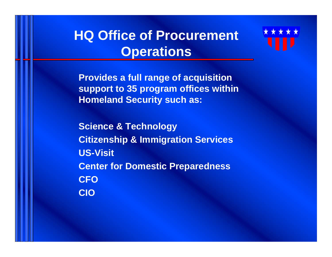#### **HQ Office of Procurement Operations**



**Provides a full range of acquisition support to 35 program offices within Homeland Security such as:**

**Science & Technology Citizenship & Immigration Services US-Visit Center for Domestic Preparedness CFOCIO**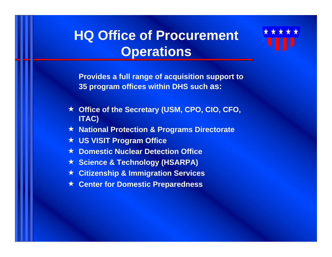#### **HQ Office of Procurement Operations**



**Provides a full range of acquisition support to 35 program offices within DHS such as:**

- **Office of the Secretary (USM, CPO, CIO, CFO, ITAC)**
- **National Protection & Programs Directorate**
- **US VISIT Program Office**
- **★ Domestic Nuclear Detection Office**
- **★ Science & Technology (HSARPA)**
- **Citizenship & Immigration Services**
- **★ Center for Domestic Preparedness**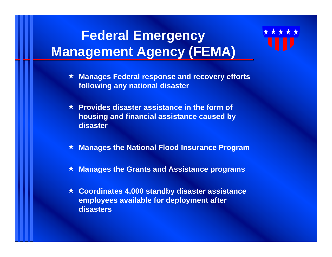## **Federal Emergency Management Agency (FEMA)**

- **Manages Federal response and recovery efforts following any national disaster**
- **Provides disaster assistance in the form of housing and financial assistance caused by disaster**
- ★. **Manages the National Flood Insurance Program**
- **Manages the Grants and Assistance programs**
- **Coordinates 4,000 standby disaster assistance employees available for deployment after disasters**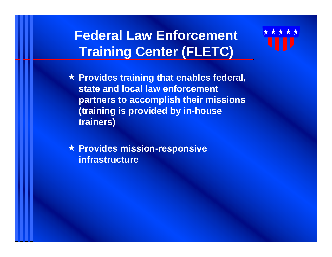#### **Federal Law Enforcement Training Center (FLETC)**

 **Provides training that enables federal, state and local law enforcement partners to accomplish their missions (training is provided by in-house trainers)**

 **Provides mission-responsive infrastructure**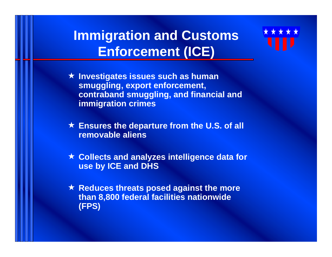#### **Immigration and Customs Enforcement (ICE)**



- **Ensures the departure from the U.S. of all removable aliens**
- **★ Collects and analyzes intelligence data for use by ICE and DHS**
- **★ Reduces threats posed against the more than 8,800 federal facilities nationwide (FPS)**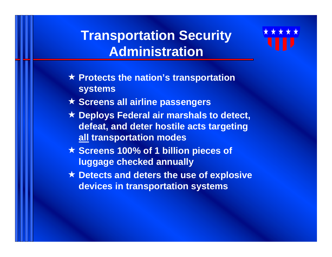#### **Transportation Security Administration**

- **Protects the nation's transportation systems**
- **Screens all airline passengers**
- **Deploys Federal air marshals to detect, defeat, and deter hostile acts targeting all transportation modes**
- **Screens 100% of 1 billion pieces of luggage checked annually**
- **Detects and deters the use of explosive devices in transportation systems**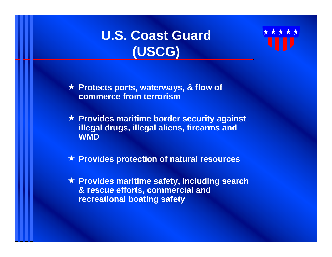#### **U.S. Coast Guard (USCG)**



 **Protects ports, waterways, & flow of commerce from terrorism**

 **Provides maritime border security against illegal drugs, illegal aliens, firearms and WMD**

**Provides protection of natural resources**

 **Provides maritime safety, including search & rescue efforts, commercial and recreational boating safety**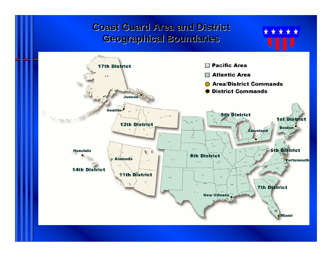**Coast Guard Area and District Geographical Boundaries Geographical Boundaries**

\* \* \*

 $\star \star$ 

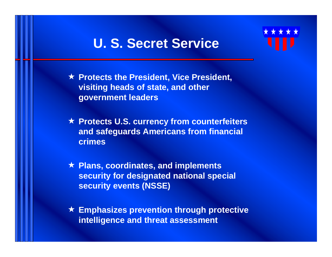#### **U. S. Secret Service**

- **Protects the President, Vice President, visiting heads of state, and other government leaders**
- **Protects U.S. currency from counterfeiters and safeguards Americans from financial crimes**
- **Plans, coordinates, and implements security for designated national special security events (NSSE)**
- **Emphasizes prevention through protective intelligence and threat assessment**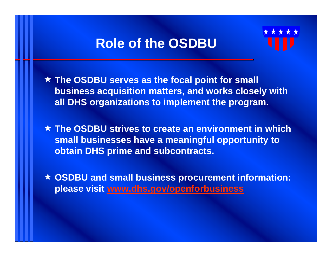#### **Role of the OSDBU**

 **The OSDBU serves as the focal point for small business acquisition matters, and works closely with all DHS organizations to implement the program.** 

 **The OSDBU strives to create an environment in which small businesses have a meaningful opportunity to obtain DHS prime and subcontracts.**

 **OSDBU and small business procurement information: please visit [www.dhs.gov/openforbusiness](http://www.dhs.gov/openforbusiness)**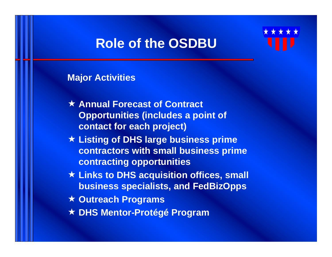#### **Role of the OSDBU**

#### **Major Activities**

- **Annual Forecast of Contract Opportunities (includes a point of contact for each project)**
- **Listing of DHS large business prime contractors with small business prime contracting opportunities**
- **Links to DHS acquisition offices, small business specialists, and FedBizOpps**
- **Outreach Programs**
- **DHS Mentor-Protégé Program**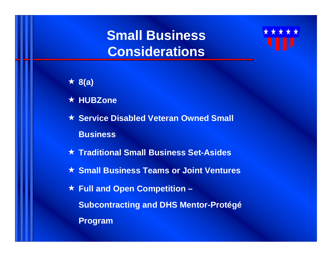#### **Small Business Considerations**



#### **8(a)**

- **HUBZone**
- **★ Service Disabled Veteran Owned Small Business**
- **Traditional Small Business Set-Asides**
- **Small Business Teams or Joint Ventures**
- **★ Full and Open Competition Subcontracting and DHS Mentor-Protégé Program**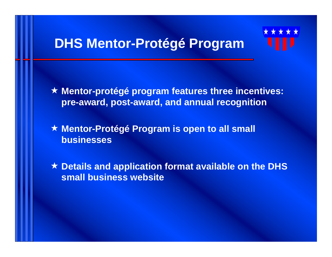#### **DHS Mentor-Protégé Program**

 **Mentor-protégé program features three incentives: pre-award, post-award, and annual recognition**

 **Mentor-Protégé Program is open to all small businesses**

 **Details and application format available on the DHS small business website**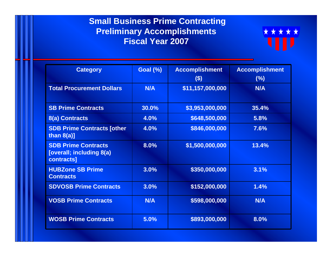#### **Small Business Prime Contracting Preliminary Accomplishments Fiscal Year 2007**



| <b>Category</b>                                                             | <b>Goal (%)</b> | <b>Accomplishment</b><br>$(\$)$ | <b>Accomplishment</b><br>(%) |
|-----------------------------------------------------------------------------|-----------------|---------------------------------|------------------------------|
| <b>Total Procurement Dollars</b>                                            | <b>N/A</b>      | \$11,157,000,000                | <b>N/A</b>                   |
| <b>SB Prime Contracts</b>                                                   | 30.0%           | \$3,953,000,000                 | 35.4%                        |
| 8(a) Contracts                                                              | 4.0%            | \$648,500,000                   | 5.8%                         |
| <b>SDB Prime Contracts [other</b><br>than $8(a)$ ]                          | 4.0%            | \$846,000,000                   | 7.6%                         |
| <b>SDB Prime Contracts</b><br><b>[overall; including 8(a)</b><br>contracts] | 8.0%            | \$1,500,000,000                 | 13.4%                        |
| <b>HUBZone SB Prime</b><br><b>Contracts</b>                                 | 3.0%            | \$350,000,000                   | 3.1%                         |
| <b>SDVOSB Prime Contracts</b>                                               | 3.0%            | \$152,000,000                   | 1.4%                         |
| <b>VOSB Prime Contracts</b>                                                 | <b>N/A</b>      | \$598,000,000                   | <b>N/A</b>                   |
| <b>WOSB Prime Contracts</b>                                                 | 5.0%            | \$893,000,000                   | 8.0%                         |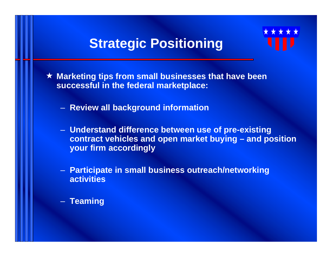**Strategic Positioning**



- **Review all background information**
- **Understand difference between use of pre-existing contract vehicles and open market buying – and position your firm accordingly**
- **Participate in small business outreach/networking activities**
- **Teaming**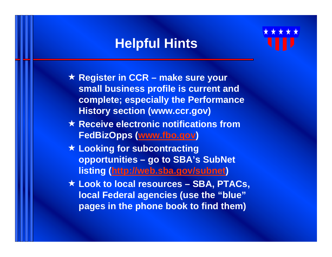#### **Helpful Hints**



- ★ Register in CCR make sure your **small business profile is current and complete; especially the Performance History section (www.ccr.gov)**
- **★ Receive electronic notifications from FedBizOpps ([www.fbo.gov](http://www.fbo.gov/) )**
- **Looking for subcontracting opportunities – go to SBA's SubNet listing (<http://web.sba.gov/subnet> )**
- **Look to local resources – SBA, PTACs, local Federal agencies (use the "blue" pages in the phone book to find them)**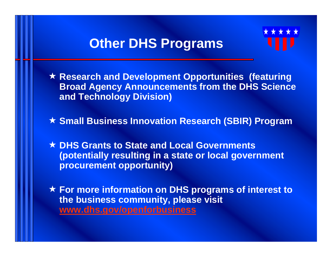#### **Other DHS Programs**



 **Research and Development Opportunities (featuring Broad Agency Announcements from the DHS Science and Technology Division)**

**Small Business Innovation Research (SBIR) Program**

 **DHS Grants to State and Local Governments (potentially resulting in a state or local government procurement opportunity)**

 **For more information on DHS programs of interest to the business community, please visit [www.dhs.gov/openforbusiness](http://www.dhs.gov/openforbusiness)**